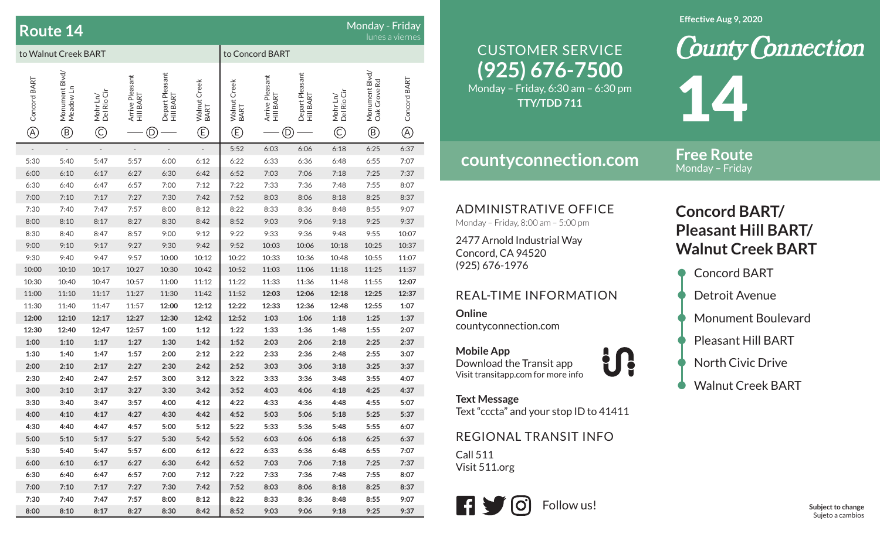| Monday - Friday<br><b>Route 14</b><br>lunes a viernes |                                             |                                         |                              |                                    |                                       |                                                                     |                              |                                    |                                         |                                                |                              |
|-------------------------------------------------------|---------------------------------------------|-----------------------------------------|------------------------------|------------------------------------|---------------------------------------|---------------------------------------------------------------------|------------------------------|------------------------------------|-----------------------------------------|------------------------------------------------|------------------------------|
| to Walnut Creek BART                                  |                                             |                                         |                              |                                    |                                       |                                                                     | to Concord BART              |                                    |                                         |                                                |                              |
| Concord BART<br>$\circledR$                           | Monument Blvd/<br>Meadow Ln<br>$^\circledR$ | Mohr Ln/<br>Del Rio Cir<br>$\copyright$ | Arrive Pleasant<br>Hill BART | Depart Pleasant<br>Hill BART<br>D) | Walnut Creek<br>BART<br>$^\copyright$ | Walnut Creek<br>BART<br>$\mathbb{G}% _{M_{1},M_{2}}^{\alpha,\beta}$ | Arrive Pleasant<br>Hill BART | Depart Pleasant<br>Hill BART<br>D) | Mohr Ln/<br>Del Rio Cir<br>$\copyright$ | Monument Blvd/<br>Oak Grove Rd<br>$^\circledR$ | Concord BART<br>$^\circledR$ |
| $\overline{\phantom{a}}$                              | $\Box$                                      | $\overline{\phantom{a}}$                | $\qquad \qquad -$            | $\qquad \qquad \blacksquare$       | $\overline{\phantom{a}}$              | 5:52                                                                | 6:03                         | 6:06                               | 6:18                                    | 6:25                                           | 6:37                         |
| 5:30                                                  | 5:40                                        | 5:47                                    | 5:57                         | 6:00                               | 6:12                                  | 6:22                                                                | 6:33                         | 6:36                               | 6:48                                    | 6:55                                           | 7:07                         |
| 6:00                                                  | 6:10                                        | 6:17                                    | 6:27                         | 6:30                               | 6:42                                  | 6:52                                                                | 7:03                         | 7:06                               | 7:18                                    | 7:25                                           | 7:37                         |
| 6:30                                                  | 6:40                                        | 6:47                                    | 6:57                         | 7:00                               | 7:12                                  | 7:22                                                                | 7:33                         | 7:36                               | 7:48                                    | 7:55                                           | 8:07                         |
| 7:00                                                  | 7:10                                        | 7:17                                    | 7:27                         | 7:30                               | 7:42                                  | 7:52                                                                | 8:03                         | 8:06                               | 8:18                                    | 8:25                                           | 8:37                         |
| 7:30                                                  | 7:40                                        | 7:47                                    | 7:57                         | 8:00                               | 8:12                                  | 8:22                                                                | 8:33                         | 8:36                               | 8:48                                    | 8:55                                           | 9:07                         |
| 8:00                                                  | 8:10                                        | 8:17                                    | 8:27                         | 8:30                               | 8:42                                  | 8:52                                                                | 9:03                         | 9:06                               | 9:18                                    | 9:25                                           | 9:37                         |
| 8:30                                                  | 8:40                                        | 8:47                                    | 8:57                         | 9:00                               | 9:12                                  | 9:22                                                                | 9:33                         | 9:36                               | 9:48                                    | 9:55                                           | 10:07                        |
| 9:00                                                  | 9:10                                        | 9:17                                    | 9:27                         | 9:30                               | 9:42                                  | 9:52                                                                | 10:03                        | 10:06                              | 10:18                                   | 10:25                                          | 10:37                        |
| 9:30                                                  | 9:40                                        | 9:47                                    | 9:57                         | 10:00                              | 10:12                                 | 10:22                                                               | 10:33                        | 10:36                              | 10:48                                   | 10:55                                          | 11:07                        |
| 10:00                                                 | 10:10                                       | 10:17                                   | 10:27                        | 10:30                              | 10:42                                 | 10:52                                                               | 11:03                        | 11:06                              | 11:18                                   | 11:25                                          | 11:37                        |
| 10:30                                                 | 10:40                                       | 10:47                                   | 10:57                        | 11:00                              | 11:12                                 | 11:22                                                               | 11:33                        | 11:36                              | 11:48                                   | 11:55                                          | 12:07                        |
| 11:00                                                 | 11:10                                       | 11:17                                   | 11:27                        | 11:30                              | 11:42                                 | 11:52                                                               | 12:03                        | 12:06                              | 12:18                                   | 12:25                                          | 12:37                        |
| 11:30                                                 | 11:40                                       | 11:47                                   | 11:57                        | 12:00                              | 12:12                                 | 12:22                                                               | 12:33                        | 12:36                              | 12:48                                   | 12:55                                          | 1:07                         |
| 12:00                                                 | 12:10                                       | 12:17                                   | 12:27                        | 12:30                              | 12:42                                 | 12:52                                                               | 1:03                         | 1:06                               | 1:18                                    | 1:25                                           | 1:37                         |
| 12:30                                                 | 12:40                                       | 12:47                                   | 12:57                        | 1:00                               | 1:12                                  | 1:22                                                                | 1:33                         | 1:36                               | 1:48                                    | 1:55                                           | 2:07                         |
| 1:00                                                  | 1:10                                        | 1:17                                    | 1:27                         | 1:30                               | 1:42                                  | 1:52                                                                | 2:03                         | 2:06                               | 2:18                                    | 2:25                                           | 2:37                         |
| 1:30                                                  | 1:40                                        | 1:47                                    | 1:57                         | 2:00                               | 2:12                                  | 2:22                                                                | 2:33                         | 2:36                               | 2:48                                    | 2:55                                           | 3:07                         |
| 2:00                                                  | 2:10                                        | 2:17                                    | 2:27                         | 2:30                               | 2:42                                  | 2:52                                                                | 3:03                         | 3:06                               | 3:18                                    | 3:25                                           | 3:37                         |
| 2:30                                                  | 2:40                                        | 2:47                                    | 2:57                         | 3:00                               | 3:12                                  | 3:22                                                                | 3:33                         | 3:36                               | 3:48                                    | 3:55                                           | 4:07                         |
| 3:00                                                  | 3:10                                        | 3:17                                    | 3:27                         | 3:30                               | 3:42                                  | 3:52                                                                | 4:03                         | 4:06                               | 4:18                                    | 4:25                                           | 4:37                         |
| 3:30                                                  | 3:40                                        | 3:47                                    | 3:57                         | 4:00                               | 4:12                                  | 4:22                                                                | 4:33                         | 4:36                               | 4:48                                    | 4:55                                           | 5:07                         |
| 4:00                                                  | 4:10                                        | 4:17                                    | 4:27                         | 4:30                               | 4:42                                  | 4:52                                                                | 5:03                         | 5:06                               | 5:18                                    | 5:25                                           | 5:37                         |
| 4:30                                                  | 4:40                                        | 4:47                                    | 4:57                         | 5:00                               | 5:12                                  | 5:22                                                                | 5:33                         | 5:36                               | 5:48                                    | 5:55                                           | 6:07                         |
| 5:00                                                  | 5:10                                        | 5:17                                    | 5:27                         | 5:30                               | 5:42                                  | 5:52                                                                | 6:03                         | 6:06                               | 6:18                                    | 6:25                                           | 6:37                         |
| 5:30                                                  | 5:40                                        | 5:47                                    | 5:57                         | 6:00                               | 6:12                                  | 6:22                                                                | 6:33                         | 6:36                               | 6:48                                    | 6:55                                           | 7:07                         |
| 6:00                                                  | 6:10                                        | 6:17                                    | 6:27                         | 6:30                               | 6:42                                  | 6:52                                                                | 7:03                         | 7:06                               | 7:18                                    | 7:25                                           | 7:37                         |
| 6:30                                                  | 6:40                                        | 6:47                                    | 6:57                         | 7:00                               | 7:12                                  | 7:22                                                                | 7:33                         | 7:36                               | 7:48                                    | 7:55                                           | 8:07                         |
| 7:00                                                  | 7:10                                        | 7:17                                    | 7:27                         | 7:30                               | 7:42                                  | 7:52                                                                | 8:03                         | 8:06                               | 8:18                                    | 8:25                                           | 8:37                         |
| 7:30                                                  | 7:40                                        | 7:47                                    | 7:57                         | 8:00                               | 8:12                                  | 8:22                                                                | 8:33                         | 8:36                               | 8:48                                    | 8:55                                           | 9:07                         |
| 8:00                                                  | 8:10                                        | 8:17                                    | 8:27                         | 8:30                               | 8:42                                  | 8:52                                                                | 9:03                         | 9:06                               | 9:18                                    | 9:25                                           | 9:37                         |

### **Effective Aug 9, 2020**

### **(925) 676-7500** Monday – Friday, 6:30 am – 6:30 pm CUSTOMER SERVICE**TTY/TDD 711**

## **countyconnection.com**

**Free Route**Monday – Friday

 $\overline{\mathbf{A}}$ 

**County Connection** 

ADMINISTRATIVE OFFICE

Monday – Friday, 8:00 am – 5:00 pm

2477 Arnold Industrial Way Concord, CA 94520 (925) 676-1976

#### REAL-TIME INFORMATION

**Online**countyconnection.com

**Mobile App** Download the Transit app Visit transitapp.com for more info

**Text Message** Text "cccta" and your stop ID to 41411

U!

#### REGIONAL TRANSIT INFO

Call 511Visit 511.org



# **Concord BART/ Pleasant Hill BART/ Walnut Creek BART**

- Concord BART Detroit Avenue • Monument Boulevard • Pleasant Hill BART • North Civic Drive
- Walnut Creek BART